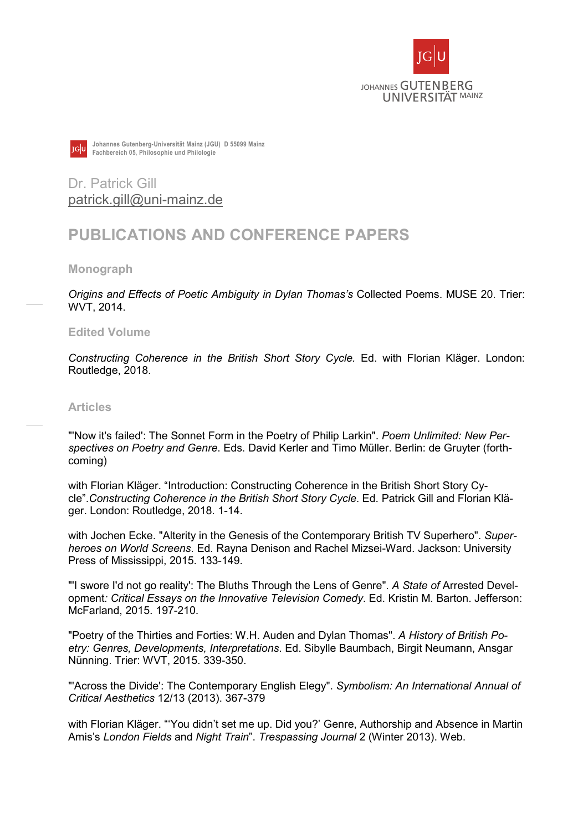



Johannes Gutenberg-Universität Mainz (JGU) D 55099 Mainz Fachbereich 05, Philosophie und Philologie

Dr. Patrick Gill patrick.gill@uni-mainz.de

# PUBLICATIONS AND CONFERENCE PAPERS

Monograph

Origins and Effects of Poetic Ambiguity in Dylan Thomas's Collected Poems. MUSE 20. Trier: WVT, 2014.

Edited Volume

Constructing Coherence in the British Short Story Cycle. Ed. with Florian Kläger. London: Routledge, 2018.

#### Articles

"Now it's failed': The Sonnet Form in the Poetry of Philip Larkin". Poem Unlimited: New Perspectives on Poetry and Genre. Eds. David Kerler and Timo Müller. Berlin: de Gruyter (forthcoming)

with Florian Kläger. "Introduction: Constructing Coherence in the British Short Story Cycle".Constructing Coherence in the British Short Story Cycle. Ed. Patrick Gill and Florian Kläger. London: Routledge, 2018. 1-14.

with Jochen Ecke. "Alterity in the Genesis of the Contemporary British TV Superhero". Superheroes on World Screens. Ed. Rayna Denison and Rachel Mizsei-Ward. Jackson: University Press of Mississippi, 2015. 133-149.

"I swore I'd not go reality': The Bluths Through the Lens of Genre". A State of Arrested Development: Critical Essays on the Innovative Television Comedy. Ed. Kristin M. Barton. Jefferson: McFarland, 2015. 197-210.

"Poetry of the Thirties and Forties: W.H. Auden and Dylan Thomas". A History of British Poetry: Genres, Developments, Interpretations. Ed. Sibylle Baumbach, Birgit Neumann, Ansgar Nünning. Trier: WVT, 2015. 339-350.

"'Across the Divide': The Contemporary English Elegy". Symbolism: An International Annual of Critical Aesthetics 12/13 (2013). 367-379

with Florian Kläger. "'You didn't set me up. Did you?' Genre, Authorship and Absence in Martin Amis's London Fields and Night Train". Trespassing Journal 2 (Winter 2013). Web.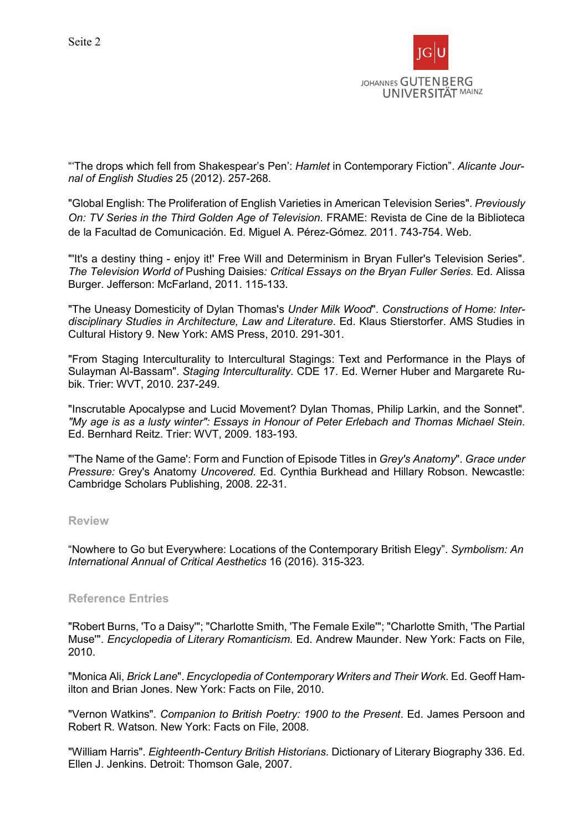

"'The drops which fell from Shakespear's Pen': Hamlet in Contemporary Fiction". Alicante Journal of English Studies 25 (2012). 257-268.

"Global English: The Proliferation of English Varieties in American Television Series". Previously On: TV Series in the Third Golden Age of Television. FRAME: Revista de Cine de la Biblioteca de la Facultad de Comunicación. Ed. Miguel A. Pérez-Gómez. 2011. 743-754. Web.

"'It's a destiny thing - enjoy it!' Free Will and Determinism in Bryan Fuller's Television Series". The Television World of Pushing Daisies: Critical Essays on the Bryan Fuller Series. Ed. Alissa Burger. Jefferson: McFarland, 2011. 115-133.

"The Uneasy Domesticity of Dylan Thomas's Under Milk Wood". Constructions of Home: Interdisciplinary Studies in Architecture, Law and Literature. Ed. Klaus Stierstorfer. AMS Studies in Cultural History 9. New York: AMS Press, 2010. 291-301.

"From Staging Interculturality to Intercultural Stagings: Text and Performance in the Plays of Sulayman Al-Bassam". Staging Interculturality. CDE 17. Ed. Werner Huber and Margarete Rubik. Trier: WVT, 2010. 237-249.

"Inscrutable Apocalypse and Lucid Movement? Dylan Thomas, Philip Larkin, and the Sonnet". "My age is as a lusty winter": Essays in Honour of Peter Erlebach and Thomas Michael Stein. Ed. Bernhard Reitz. Trier: WVT, 2009. 183-193.

"The Name of the Game': Form and Function of Episode Titles in Grey's Anatomy". Grace under Pressure: Grey's Anatomy Uncovered. Ed. Cynthia Burkhead and Hillary Robson. Newcastle: Cambridge Scholars Publishing, 2008. 22-31.

#### Review

"Nowhere to Go but Everywhere: Locations of the Contemporary British Elegy". Symbolism: An International Annual of Critical Aesthetics 16 (2016). 315-323.

### Reference Entries

"Robert Burns, 'To a Daisy'"; "Charlotte Smith, 'The Female Exile'"; "Charlotte Smith, 'The Partial Muse'". Encyclopedia of Literary Romanticism. Ed. Andrew Maunder. New York: Facts on File, 2010.

"Monica Ali, Brick Lane". Encyclopedia of Contemporary Writers and Their Work. Ed. Geoff Hamilton and Brian Jones. New York: Facts on File, 2010.

"Vernon Watkins". Companion to British Poetry: 1900 to the Present. Ed. James Persoon and Robert R. Watson. New York: Facts on File, 2008.

"William Harris". Eighteenth-Century British Historians. Dictionary of Literary Biography 336. Ed. Ellen J. Jenkins. Detroit: Thomson Gale, 2007.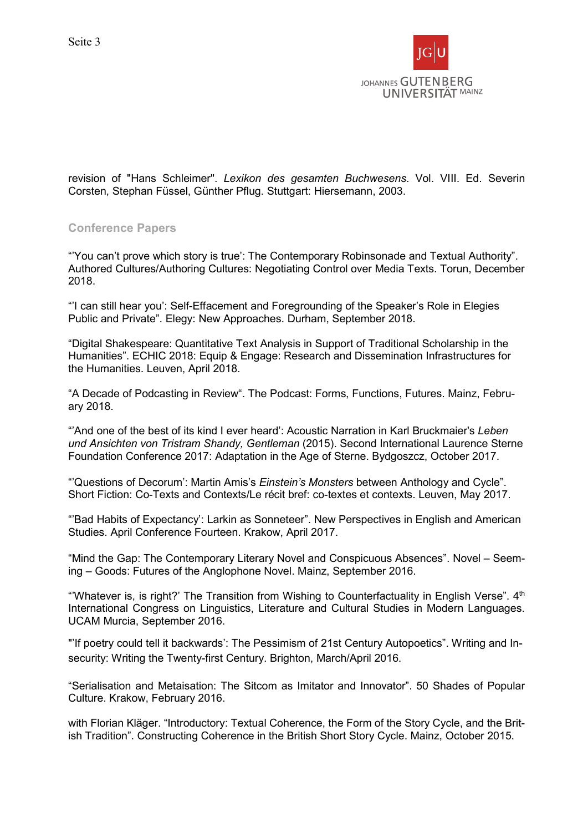

revision of "Hans Schleimer". Lexikon des gesamten Buchwesens. Vol. VIII. Ed. Severin Corsten, Stephan Füssel, Günther Pflug. Stuttgart: Hiersemann, 2003.

## Conference Papers

"'You can't prove which story is true': The Contemporary Robinsonade and Textual Authority". Authored Cultures/Authoring Cultures: Negotiating Control over Media Texts. Torun, December 2018.

"'I can still hear you': Self-Effacement and Foregrounding of the Speaker's Role in Elegies Public and Private". Elegy: New Approaches. Durham, September 2018.

"Digital Shakespeare: Quantitative Text Analysis in Support of Traditional Scholarship in the Humanities". ECHIC 2018: Equip & Engage: Research and Dissemination Infrastructures for the Humanities. Leuven, April 2018.

"A Decade of Podcasting in Review". The Podcast: Forms, Functions, Futures. Mainz, February 2018.

"'And one of the best of its kind I ever heard': Acoustic Narration in Karl Bruckmaier's Leben und Ansichten von Tristram Shandy, Gentleman (2015). Second International Laurence Sterne Foundation Conference 2017: Adaptation in the Age of Sterne. Bydgoszcz, October 2017.

"'Questions of Decorum': Martin Amis's *Einstein's Monsters* between Anthology and Cycle". Short Fiction: Co-Texts and Contexts/Le récit bref: co-textes et contexts. Leuven, May 2017.

"'Bad Habits of Expectancy': Larkin as Sonneteer". New Perspectives in English and American Studies. April Conference Fourteen. Krakow, April 2017.

"Mind the Gap: The Contemporary Literary Novel and Conspicuous Absences". Novel – Seeming – Goods: Futures of the Anglophone Novel. Mainz, September 2016.

"'Whatever is, is right?' The Transition from Wishing to Counterfactuality in English Verse".  $4<sup>th</sup>$ International Congress on Linguistics, Literature and Cultural Studies in Modern Languages. UCAM Murcia, September 2016.

"'If poetry could tell it backwards': The Pessimism of 21st Century Autopoetics". Writing and Insecurity: Writing the Twenty-first Century. Brighton, March/April 2016.

"Serialisation and Metaisation: The Sitcom as Imitator and Innovator". 50 Shades of Popular Culture. Krakow, February 2016.

with Florian Kläger. "Introductory: Textual Coherence, the Form of the Story Cycle, and the British Tradition". Constructing Coherence in the British Short Story Cycle. Mainz, October 2015.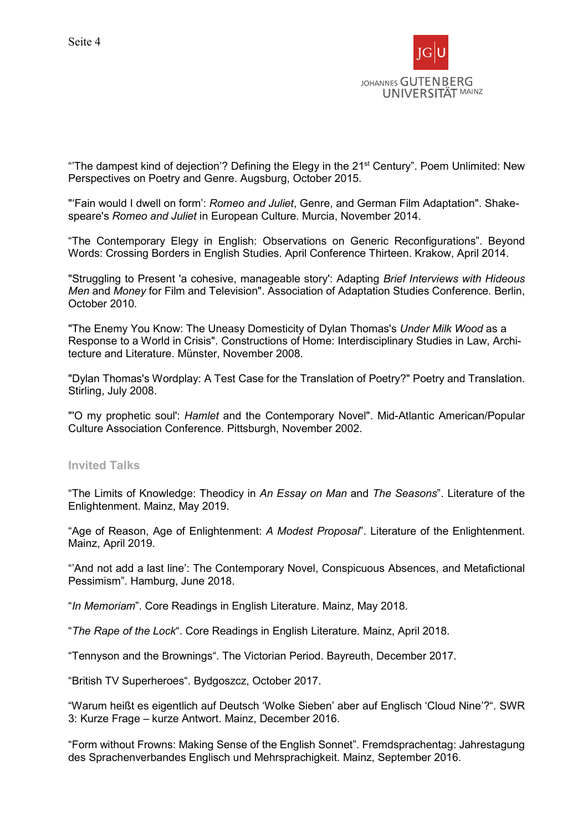

"The dampest kind of dejection'? Defining the Elegy in the 21<sup>st</sup> Century". Poem Unlimited: New Perspectives on Poetry and Genre. Augsburg, October 2015.

"'Fain would I dwell on form': Romeo and Juliet, Genre, and German Film Adaptation". Shakespeare's Romeo and Juliet in European Culture. Murcia, November 2014.

"The Contemporary Elegy in English: Observations on Generic Reconfigurations". Beyond Words: Crossing Borders in English Studies. April Conference Thirteen. Krakow, April 2014.

"Struggling to Present 'a cohesive, manageable story': Adapting Brief Interviews with Hideous Men and Money for Film and Television". Association of Adaptation Studies Conference. Berlin, October 2010.

"The Enemy You Know: The Uneasy Domesticity of Dylan Thomas's Under Milk Wood as a Response to a World in Crisis". Constructions of Home: Interdisciplinary Studies in Law, Architecture and Literature. Münster, November 2008.

"Dylan Thomas's Wordplay: A Test Case for the Translation of Poetry?" Poetry and Translation. Stirling, July 2008.

"'O my prophetic soul': Hamlet and the Contemporary Novel". Mid-Atlantic American/Popular Culture Association Conference. Pittsburgh, November 2002.

### Invited Talks

"The Limits of Knowledge: Theodicy in An Essay on Man and The Seasons". Literature of the Enlightenment. Mainz, May 2019.

"Age of Reason, Age of Enlightenment: A Modest Proposal". Literature of the Enlightenment. Mainz, April 2019.

"'And not add a last line': The Contemporary Novel, Conspicuous Absences, and Metafictional Pessimism". Hamburg, June 2018.

"In Memoriam". Core Readings in English Literature. Mainz, May 2018.

"The Rape of the Lock". Core Readings in English Literature. Mainz, April 2018.

"Tennyson and the Brownings". The Victorian Period. Bayreuth, December 2017.

"British TV Superheroes". Bydgoszcz, October 2017.

"Warum heißt es eigentlich auf Deutsch 'Wolke Sieben' aber auf Englisch 'Cloud Nine'?". SWR 3: Kurze Frage – kurze Antwort. Mainz, December 2016.

"Form without Frowns: Making Sense of the English Sonnet". Fremdsprachentag: Jahrestagung des Sprachenverbandes Englisch und Mehrsprachigkeit. Mainz, September 2016.